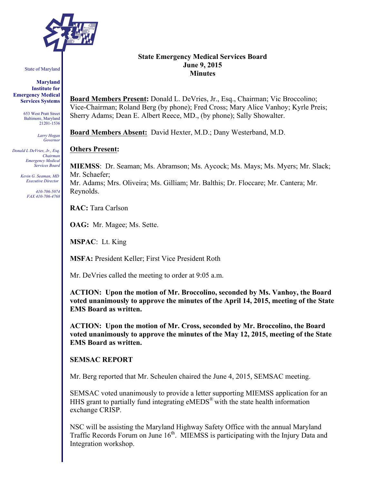

State of Maryland

**Maryland Institute for Emergency Medical Services Systems**

> 653 West Pratt Street Baltimore, Maryland 21201-1536

> > *Larry Hogan Governor*

*Donald L DeVries, Jr., Esq. Chairman Emergency Medical Services Board*

> *Kevin G. Seaman, MD Executive Director*

> > *410-706-5074 FAX 410-706-4768*

## **State Emergency Medical Services Board June 9, 2015 Minutes**

**Board Members Present:** Donald L. DeVries, Jr., Esq., Chairman; Vic Broccolino; Vice-Chairman; Roland Berg (by phone); Fred Cross; Mary Alice Vanhoy; Kyrle Preis; Sherry Adams; Dean E. Albert Reece, MD., (by phone); Sally Showalter.

**Board Members Absent:** David Hexter, M.D.; Dany Westerband, M.D.

#### **Others Present:**

**MIEMSS**: Dr. Seaman; Ms. Abramson; Ms. Aycock; Ms. Mays; Ms. Myers; Mr. Slack; Mr. Schaefer; Mr. Adams; Mrs. Oliveira; Ms. Gilliam; Mr. Balthis; Dr. Floccare; Mr. Cantera; Mr. Reynolds.

**RAC:** Tara Carlson

**OAG:** Mr. Magee; Ms. Sette.

**MSPAC**: Lt. King

**MSFA:** President Keller; First Vice President Roth

Mr. DeVries called the meeting to order at 9:05 a.m.

**ACTION: Upon the motion of Mr. Broccolino, seconded by Ms. Vanhoy, the Board voted unanimously to approve the minutes of the April 14, 2015, meeting of the State EMS Board as written.**

**ACTION: Upon the motion of Mr. Cross, seconded by Mr. Broccolino, the Board voted unanimously to approve the minutes of the May 12, 2015, meeting of the State EMS Board as written.**

#### **SEMSAC REPORT**

Mr. Berg reported that Mr. Scheulen chaired the June 4, 2015, SEMSAC meeting.

SEMSAC voted unanimously to provide a letter supporting MIEMSS application for an HHS grant to partially fund integrating eMEDS® with the state health information exchange CRISP.

NSC will be assisting the Maryland Highway Safety Office with the annual Maryland Traffic Records Forum on June 16<sup>th</sup>. MIEMSS is participating with the Injury Data and Integration workshop.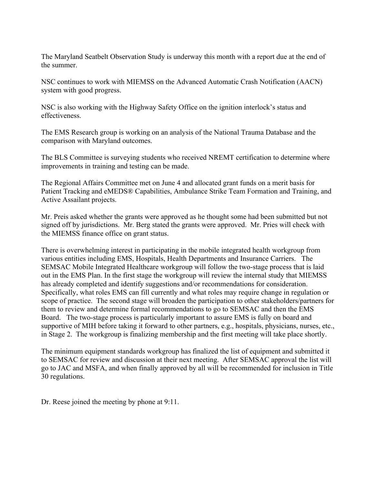The Maryland Seatbelt Observation Study is underway this month with a report due at the end of the summer.

NSC continues to work with MIEMSS on the Advanced Automatic Crash Notification (AACN) system with good progress.

NSC is also working with the Highway Safety Office on the ignition interlock's status and effectiveness.

The EMS Research group is working on an analysis of the National Trauma Database and the comparison with Maryland outcomes.

The BLS Committee is surveying students who received NREMT certification to determine where improvements in training and testing can be made.

The Regional Affairs Committee met on June 4 and allocated grant funds on a merit basis for Patient Tracking and eMEDS® Capabilities, Ambulance Strike Team Formation and Training, and Active Assailant projects.

Mr. Preis asked whether the grants were approved as he thought some had been submitted but not signed off by jurisdictions. Mr. Berg stated the grants were approved. Mr. Pries will check with the MIEMSS finance office on grant status.

There is overwhelming interest in participating in the mobile integrated health workgroup from various entities including EMS, Hospitals, Health Departments and Insurance Carriers. The SEMSAC Mobile Integrated Healthcare workgroup will follow the two-stage process that is laid out in the EMS Plan. In the first stage the workgroup will review the internal study that MIEMSS has already completed and identify suggestions and/or recommendations for consideration. Specifically, what roles EMS can fill currently and what roles may require change in regulation or scope of practice. The second stage will broaden the participation to other stakeholders/partners for them to review and determine formal recommendations to go to SEMSAC and then the EMS Board. The two-stage process is particularly important to assure EMS is fully on board and supportive of MIH before taking it forward to other partners, e.g., hospitals, physicians, nurses, etc., in Stage 2. The workgroup is finalizing membership and the first meeting will take place shortly.

The minimum equipment standards workgroup has finalized the list of equipment and submitted it to SEMSAC for review and discussion at their next meeting. After SEMSAC approval the list will go to JAC and MSFA, and when finally approved by all will be recommended for inclusion in Title 30 regulations.

Dr. Reese joined the meeting by phone at 9:11.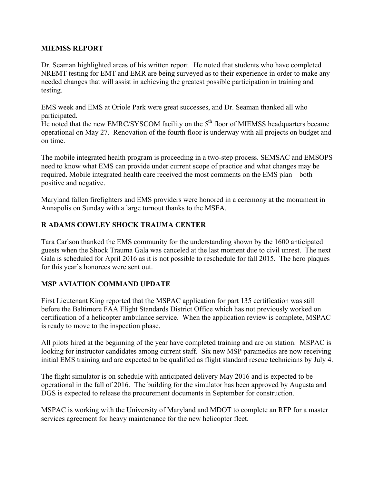# **MIEMSS REPORT**

Dr. Seaman highlighted areas of his written report. He noted that students who have completed NREMT testing for EMT and EMR are being surveyed as to their experience in order to make any needed changes that will assist in achieving the greatest possible participation in training and testing.

EMS week and EMS at Oriole Park were great successes, and Dr. Seaman thanked all who participated.

He noted that the new EMRC/SYSCOM facility on the 5<sup>th</sup> floor of MIEMSS headquarters became operational on May 27. Renovation of the fourth floor is underway with all projects on budget and on time.

The mobile integrated health program is proceeding in a two-step process. SEMSAC and EMSOPS need to know what EMS can provide under current scope of practice and what changes may be required. Mobile integrated health care received the most comments on the EMS plan – both positive and negative.

Maryland fallen firefighters and EMS providers were honored in a ceremony at the monument in Annapolis on Sunday with a large turnout thanks to the MSFA.

# **R ADAMS COWLEY SHOCK TRAUMA CENTER**

Tara Carlson thanked the EMS community for the understanding shown by the 1600 anticipated guests when the Shock Trauma Gala was canceled at the last moment due to civil unrest. The next Gala is scheduled for April 2016 as it is not possible to reschedule for fall 2015. The hero plaques for this year's honorees were sent out.

# **MSP AVIATION COMMAND UPDATE**

First Lieutenant King reported that the MSPAC application for part 135 certification was still before the Baltimore FAA Flight Standards District Office which has not previously worked on certification of a helicopter ambulance service. When the application review is complete, MSPAC is ready to move to the inspection phase.

All pilots hired at the beginning of the year have completed training and are on station. MSPAC is looking for instructor candidates among current staff. Six new MSP paramedics are now receiving initial EMS training and are expected to be qualified as flight standard rescue technicians by July 4.

The flight simulator is on schedule with anticipated delivery May 2016 and is expected to be operational in the fall of 2016. The building for the simulator has been approved by Augusta and DGS is expected to release the procurement documents in September for construction.

MSPAC is working with the University of Maryland and MDOT to complete an RFP for a master services agreement for heavy maintenance for the new helicopter fleet.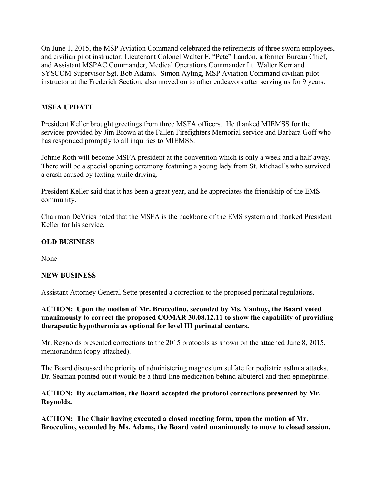On June 1, 2015, the MSP Aviation Command celebrated the retirements of three sworn employees, and civilian pilot instructor: Lieutenant Colonel Walter F. "Pete" Landon, a former Bureau Chief, and Assistant MSPAC Commander, Medical Operations Commander Lt. Walter Kerr and SYSCOM Supervisor Sgt. Bob Adams. Simon Ayling, MSP Aviation Command civilian pilot instructor at the Frederick Section, also moved on to other endeavors after serving us for 9 years.

# **MSFA UPDATE**

President Keller brought greetings from three MSFA officers. He thanked MIEMSS for the services provided by Jim Brown at the Fallen Firefighters Memorial service and Barbara Goff who has responded promptly to all inquiries to MIEMSS.

Johnie Roth will become MSFA president at the convention which is only a week and a half away. There will be a special opening ceremony featuring a young lady from St. Michael's who survived a crash caused by texting while driving.

President Keller said that it has been a great year, and he appreciates the friendship of the EMS community.

Chairman DeVries noted that the MSFA is the backbone of the EMS system and thanked President Keller for his service.

# **OLD BUSINESS**

None

# **NEW BUSINESS**

Assistant Attorney General Sette presented a correction to the proposed perinatal regulations.

**ACTION: Upon the motion of Mr. Broccolino, seconded by Ms. Vanhoy, the Board voted unanimously to correct the proposed COMAR 30.08.12.11 to show the capability of providing therapeutic hypothermia as optional for level III perinatal centers.**

Mr. Reynolds presented corrections to the 2015 protocols as shown on the attached June 8, 2015, memorandum (copy attached).

The Board discussed the priority of administering magnesium sulfate for pediatric asthma attacks. Dr. Seaman pointed out it would be a third-line medication behind albuterol and then epinephrine.

# **ACTION: By acclamation, the Board accepted the protocol corrections presented by Mr. Reynolds.**

**ACTION: The Chair having executed a closed meeting form, upon the motion of Mr. Broccolino, seconded by Ms. Adams, the Board voted unanimously to move to closed session.**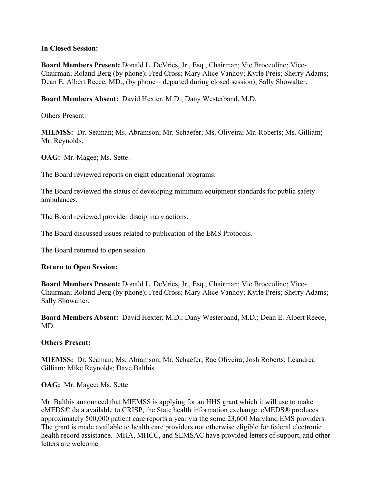## **In Closed Session:**

**Board Members Present:** Donald L. DeVries, Jr., Esq., Chairman; Vic Broccolino; Vice-Chairman; Roland Berg (by phone); Fred Cross; Mary Alice Vanhoy; Kyrle Preis; Sherry Adams; Dean E. Albert Reece, MD., (by phone – departed during closed session); Sally Showalter.

**Board Members Absent:** David Hexter, M.D.; Dany Westerband, M.D.

Others Present:

**MIEMSS:** Dr. Seaman; Ms. Abramson; Mr. Schaefer; Ms. Oliveira; Mr. Roberts; Ms. Gilliam; Mr. Reynolds.

**OAG:** Mr. Magee; Ms. Sette.

The Board reviewed reports on eight educational programs.

The Board reviewed the status of developing minimum equipment standards for public safety ambulances.

The Board reviewed provider disciplinary actions.

The Board discussed issues related to publication of the EMS Protocols.

The Board returned to open session.

## **Return to Open Session:**

**Board Members Present:** Donald L. DeVries, Jr., Esq., Chairman; Vic Broccolino; Vice-Chairman; Roland Berg (by phone); Fred Cross; Mary Alice Vanhoy; Kyrle Preis; Sherry Adams; Sally Showalter.

**Board Members Absent:** David Hexter, M.D.; Dany Westerband, M.D.; Dean E. Albert Reece, MD.

# **Others Present:**

**MIEMSS:** Dr. Seaman; Ms. Abramson; Mr. Schaefer; Rae Oliveira; Josh Roberts; Leandrea Gilliam; Mike Reynolds; Dave Balthis

**OAG:** Mr. Magee; Ms. Sette

Mr. Balthis announced that MIEMSS is applying for an HHS grant which it will use to make eMEDS® data available to CRISP, the State health information exchange. eMEDS® produces approximately 500,000 patient care reports a year via the some 23,600 Maryland EMS providers. The grant is made available to health care providers not otherwise eligible for federal electronic health record assistance. MHA, MHCC, and SEMSAC have provided letters of support, and other letters are welcome.